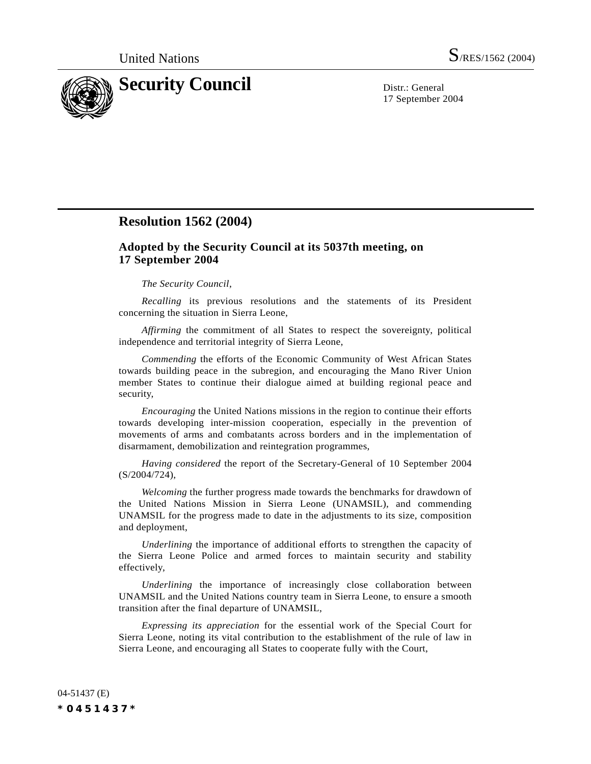

17 September 2004

# **Resolution 1562 (2004)**

## **Adopted by the Security Council at its 5037th meeting, on 17 September 2004**

### *The Security Council*,

*Recalling* its previous resolutions and the statements of its President concerning the situation in Sierra Leone,

*Affirming* the commitment of all States to respect the sovereignty, political independence and territorial integrity of Sierra Leone,

*Commending* the efforts of the Economic Community of West African States towards building peace in the subregion, and encouraging the Mano River Union member States to continue their dialogue aimed at building regional peace and security,

*Encouraging* the United Nations missions in the region to continue their efforts towards developing inter-mission cooperation, especially in the prevention of movements of arms and combatants across borders and in the implementation of disarmament, demobilization and reintegration programmes,

*Having considered* the report of the Secretary-General of 10 September 2004 (S/2004/724),

*Welcoming* the further progress made towards the benchmarks for drawdown of the United Nations Mission in Sierra Leone (UNAMSIL), and commending UNAMSIL for the progress made to date in the adjustments to its size, composition and deployment,

*Underlining* the importance of additional efforts to strengthen the capacity of the Sierra Leone Police and armed forces to maintain security and stability effectively,

*Underlining* the importance of increasingly close collaboration between UNAMSIL and the United Nations country team in Sierra Leone, to ensure a smooth transition after the final departure of UNAMSIL,

*Expressing its appreciation* for the essential work of the Special Court for Sierra Leone, noting its vital contribution to the establishment of the rule of law in Sierra Leone, and encouraging all States to cooperate fully with the Court,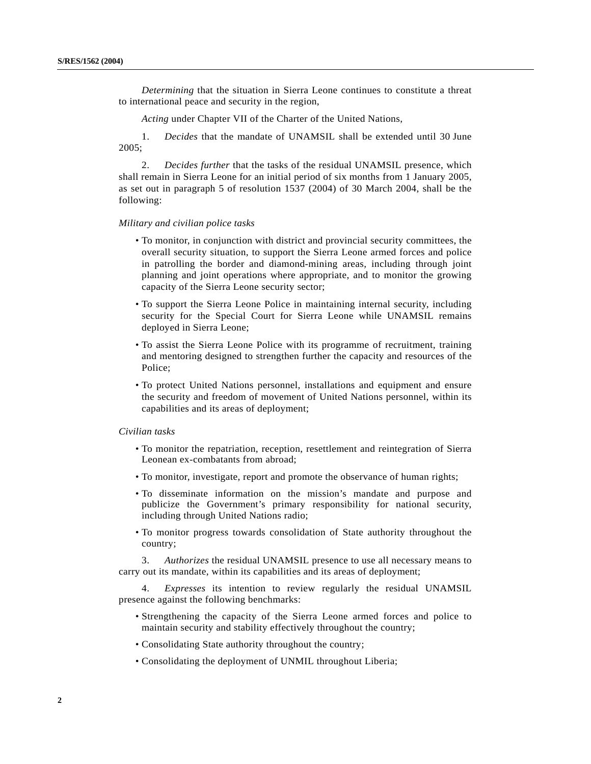*Determining* that the situation in Sierra Leone continues to constitute a threat to international peace and security in the region,

*Acting* under Chapter VII of the Charter of the United Nations,

1. *Decides* that the mandate of UNAMSIL shall be extended until 30 June 2005;

2. *Decides further* that the tasks of the residual UNAMSIL presence, which shall remain in Sierra Leone for an initial period of six months from 1 January 2005, as set out in paragraph 5 of resolution 1537 (2004) of 30 March 2004, shall be the following:

### *Military and civilian police tasks*

- To monitor, in conjunction with district and provincial security committees, the overall security situation, to support the Sierra Leone armed forces and police in patrolling the border and diamond-mining areas, including through joint planning and joint operations where appropriate, and to monitor the growing capacity of the Sierra Leone security sector;
- To support the Sierra Leone Police in maintaining internal security, including security for the Special Court for Sierra Leone while UNAMSIL remains deployed in Sierra Leone;
- To assist the Sierra Leone Police with its programme of recruitment, training and mentoring designed to strengthen further the capacity and resources of the Police;
- To protect United Nations personnel, installations and equipment and ensure the security and freedom of movement of United Nations personnel, within its capabilities and its areas of deployment;

#### *Civilian tasks*

- To monitor the repatriation, reception, resettlement and reintegration of Sierra Leonean ex-combatants from abroad;
- To monitor, investigate, report and promote the observance of human rights;
- To disseminate information on the mission's mandate and purpose and publicize the Government's primary responsibility for national security, including through United Nations radio;
- To monitor progress towards consolidation of State authority throughout the country;

3. *Authorizes* the residual UNAMSIL presence to use all necessary means to carry out its mandate, within its capabilities and its areas of deployment;

4. *Expresses* its intention to review regularly the residual UNAMSIL presence against the following benchmarks:

- Strengthening the capacity of the Sierra Leone armed forces and police to maintain security and stability effectively throughout the country;
- Consolidating State authority throughout the country;
- Consolidating the deployment of UNMIL throughout Liberia;